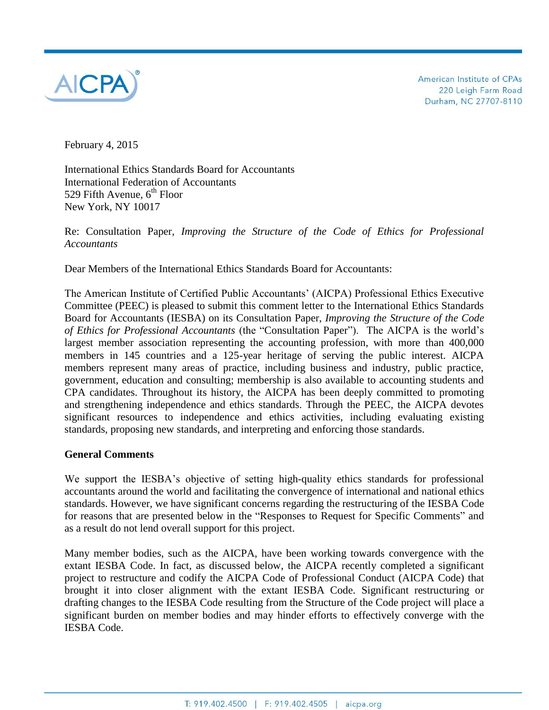

American Institute of CPAs 220 Leigh Farm Road Durham, NC 27707-8110

February 4, 2015

International Ethics Standards Board for Accountants International Federation of Accountants 529 Fifth Avenue,  $6<sup>th</sup>$  Floor New York, NY 10017

Re: Consultation Paper, *Improving the Structure of the Code of Ethics for Professional Accountants*

Dear Members of the International Ethics Standards Board for Accountants:

The American Institute of Certified Public Accountants' (AICPA) Professional Ethics Executive Committee (PEEC) is pleased to submit this comment letter to the International Ethics Standards Board for Accountants (IESBA) on its Consultation Paper, *Improving the Structure of the Code of Ethics for Professional Accountants* (the "Consultation Paper"). The AICPA is the world's largest member association representing the accounting profession, with more than 400,000 members in 145 countries and a 125-year heritage of serving the public interest. AICPA members represent many areas of practice, including business and industry, public practice, government, education and consulting; membership is also available to accounting students and CPA candidates. Throughout its history, the AICPA has been deeply committed to promoting and strengthening independence and ethics standards. Through the PEEC, the AICPA devotes significant resources to independence and ethics activities, including evaluating existing standards, proposing new standards, and interpreting and enforcing those standards.

#### **General Comments**

We support the IESBA's objective of setting high-quality ethics standards for professional accountants around the world and facilitating the convergence of international and national ethics standards. However, we have significant concerns regarding the restructuring of the IESBA Code for reasons that are presented below in the "Responses to Request for Specific Comments" and as a result do not lend overall support for this project.

Many member bodies, such as the AICPA, have been working towards convergence with the extant IESBA Code. In fact, as discussed below, the AICPA recently completed a significant project to restructure and codify the AICPA Code of Professional Conduct (AICPA Code) that brought it into closer alignment with the extant IESBA Code. Significant restructuring or drafting changes to the IESBA Code resulting from the Structure of the Code project will place a significant burden on member bodies and may hinder efforts to effectively converge with the IESBA Code.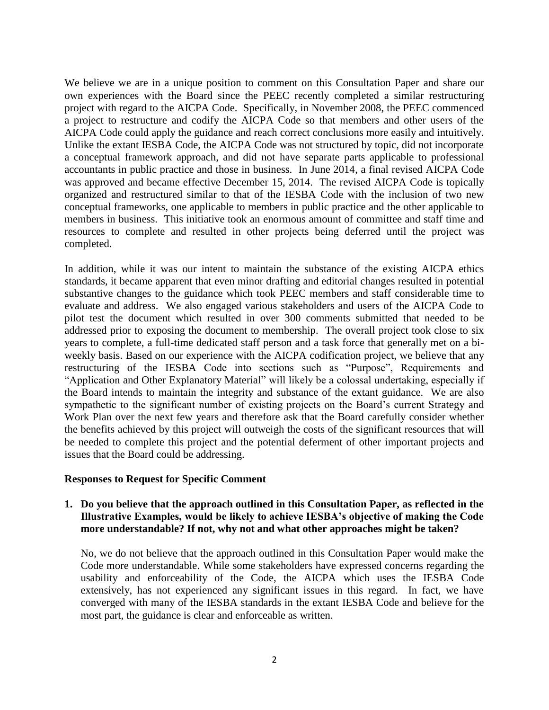We believe we are in a unique position to comment on this Consultation Paper and share our own experiences with the Board since the PEEC recently completed a similar restructuring project with regard to the AICPA Code. Specifically, in November 2008, the PEEC commenced a project to restructure and codify the AICPA Code so that members and other users of the AICPA Code could apply the guidance and reach correct conclusions more easily and intuitively. Unlike the extant IESBA Code, the AICPA Code was not structured by topic, did not incorporate a conceptual framework approach, and did not have separate parts applicable to professional accountants in public practice and those in business. In June 2014, a final revised AICPA Code was approved and became effective December 15, 2014. The revised AICPA Code is topically organized and restructured similar to that of the IESBA Code with the inclusion of two new conceptual frameworks, one applicable to members in public practice and the other applicable to members in business. This initiative took an enormous amount of committee and staff time and resources to complete and resulted in other projects being deferred until the project was completed.

In addition, while it was our intent to maintain the substance of the existing AICPA ethics standards, it became apparent that even minor drafting and editorial changes resulted in potential substantive changes to the guidance which took PEEC members and staff considerable time to evaluate and address. We also engaged various stakeholders and users of the AICPA Code to pilot test the document which resulted in over 300 comments submitted that needed to be addressed prior to exposing the document to membership. The overall project took close to six years to complete, a full-time dedicated staff person and a task force that generally met on a biweekly basis. Based on our experience with the AICPA codification project, we believe that any restructuring of the IESBA Code into sections such as "Purpose", Requirements and "Application and Other Explanatory Material" will likely be a colossal undertaking, especially if the Board intends to maintain the integrity and substance of the extant guidance. We are also sympathetic to the significant number of existing projects on the Board's current Strategy and Work Plan over the next few years and therefore ask that the Board carefully consider whether the benefits achieved by this project will outweigh the costs of the significant resources that will be needed to complete this project and the potential deferment of other important projects and issues that the Board could be addressing.

#### **Responses to Request for Specific Comment**

#### **1. Do you believe that the approach outlined in this Consultation Paper, as reflected in the Illustrative Examples, would be likely to achieve IESBA's objective of making the Code more understandable? If not, why not and what other approaches might be taken?**

No, we do not believe that the approach outlined in this Consultation Paper would make the Code more understandable. While some stakeholders have expressed concerns regarding the usability and enforceability of the Code, the AICPA which uses the IESBA Code extensively, has not experienced any significant issues in this regard. In fact, we have converged with many of the IESBA standards in the extant IESBA Code and believe for the most part, the guidance is clear and enforceable as written.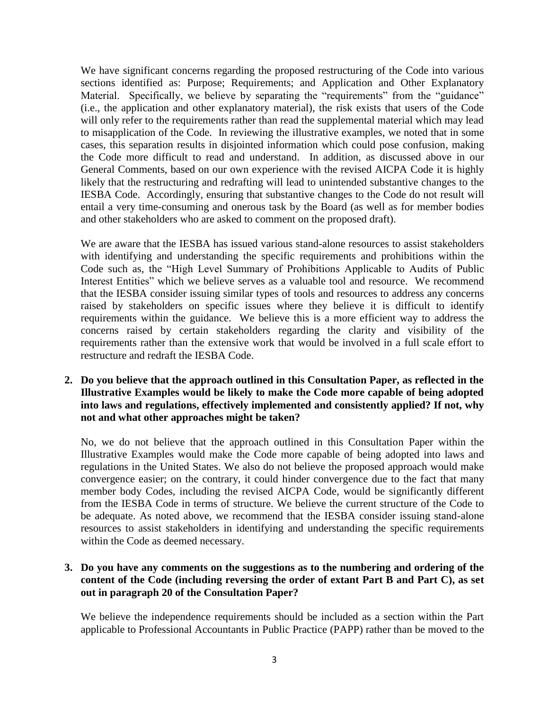We have significant concerns regarding the proposed restructuring of the Code into various sections identified as: Purpose; Requirements; and Application and Other Explanatory Material. Specifically, we believe by separating the "requirements" from the "guidance" (i.e., the application and other explanatory material), the risk exists that users of the Code will only refer to the requirements rather than read the supplemental material which may lead to misapplication of the Code. In reviewing the illustrative examples, we noted that in some cases, this separation results in disjointed information which could pose confusion, making the Code more difficult to read and understand. In addition, as discussed above in our General Comments, based on our own experience with the revised AICPA Code it is highly likely that the restructuring and redrafting will lead to unintended substantive changes to the IESBA Code. Accordingly, ensuring that substantive changes to the Code do not result will entail a very time-consuming and onerous task by the Board (as well as for member bodies and other stakeholders who are asked to comment on the proposed draft).

We are aware that the IESBA has issued various stand-alone resources to assist stakeholders with identifying and understanding the specific requirements and prohibitions within the Code such as, the "High Level Summary of Prohibitions Applicable to Audits of Public Interest Entities" which we believe serves as a valuable tool and resource. We recommend that the IESBA consider issuing similar types of tools and resources to address any concerns raised by stakeholders on specific issues where they believe it is difficult to identify requirements within the guidance. We believe this is a more efficient way to address the concerns raised by certain stakeholders regarding the clarity and visibility of the requirements rather than the extensive work that would be involved in a full scale effort to restructure and redraft the IESBA Code.

**2. Do you believe that the approach outlined in this Consultation Paper, as reflected in the Illustrative Examples would be likely to make the Code more capable of being adopted into laws and regulations, effectively implemented and consistently applied? If not, why not and what other approaches might be taken?**

No, we do not believe that the approach outlined in this Consultation Paper within the Illustrative Examples would make the Code more capable of being adopted into laws and regulations in the United States. We also do not believe the proposed approach would make convergence easier; on the contrary, it could hinder convergence due to the fact that many member body Codes, including the revised AICPA Code, would be significantly different from the IESBA Code in terms of structure. We believe the current structure of the Code to be adequate. As noted above, we recommend that the IESBA consider issuing stand-alone resources to assist stakeholders in identifying and understanding the specific requirements within the Code as deemed necessary.

### **3. Do you have any comments on the suggestions as to the numbering and ordering of the content of the Code (including reversing the order of extant Part B and Part C), as set out in paragraph 20 of the Consultation Paper?**

We believe the independence requirements should be included as a section within the Part applicable to Professional Accountants in Public Practice (PAPP) rather than be moved to the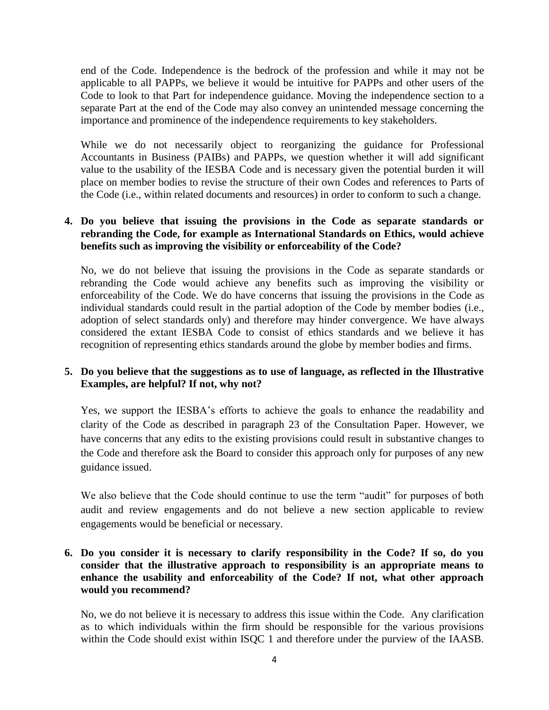end of the Code. Independence is the bedrock of the profession and while it may not be applicable to all PAPPs, we believe it would be intuitive for PAPPs and other users of the Code to look to that Part for independence guidance. Moving the independence section to a separate Part at the end of the Code may also convey an unintended message concerning the importance and prominence of the independence requirements to key stakeholders.

While we do not necessarily object to reorganizing the guidance for Professional Accountants in Business (PAIBs) and PAPPs, we question whether it will add significant value to the usability of the IESBA Code and is necessary given the potential burden it will place on member bodies to revise the structure of their own Codes and references to Parts of the Code (i.e., within related documents and resources) in order to conform to such a change.

## **4. Do you believe that issuing the provisions in the Code as separate standards or rebranding the Code, for example as International Standards on Ethics, would achieve benefits such as improving the visibility or enforceability of the Code?**

No, we do not believe that issuing the provisions in the Code as separate standards or rebranding the Code would achieve any benefits such as improving the visibility or enforceability of the Code. We do have concerns that issuing the provisions in the Code as individual standards could result in the partial adoption of the Code by member bodies (i.e., adoption of select standards only) and therefore may hinder convergence. We have always considered the extant IESBA Code to consist of ethics standards and we believe it has recognition of representing ethics standards around the globe by member bodies and firms.

## **5. Do you believe that the suggestions as to use of language, as reflected in the Illustrative Examples, are helpful? If not, why not?**

Yes, we support the IESBA's efforts to achieve the goals to enhance the readability and clarity of the Code as described in paragraph 23 of the Consultation Paper. However, we have concerns that any edits to the existing provisions could result in substantive changes to the Code and therefore ask the Board to consider this approach only for purposes of any new guidance issued.

We also believe that the Code should continue to use the term "audit" for purposes of both audit and review engagements and do not believe a new section applicable to review engagements would be beneficial or necessary.

### **6. Do you consider it is necessary to clarify responsibility in the Code? If so, do you consider that the illustrative approach to responsibility is an appropriate means to enhance the usability and enforceability of the Code? If not, what other approach would you recommend?**

No, we do not believe it is necessary to address this issue within the Code. Any clarification as to which individuals within the firm should be responsible for the various provisions within the Code should exist within ISQC 1 and therefore under the purview of the IAASB.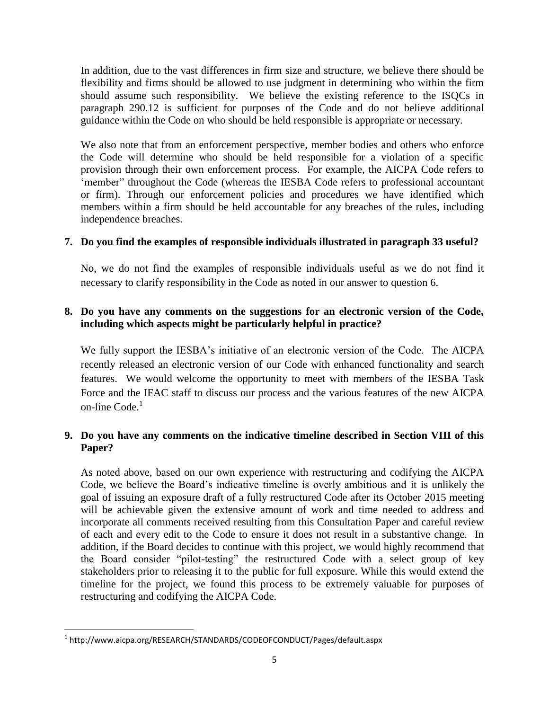In addition, due to the vast differences in firm size and structure, we believe there should be flexibility and firms should be allowed to use judgment in determining who within the firm should assume such responsibility. We believe the existing reference to the ISQCs in paragraph 290.12 is sufficient for purposes of the Code and do not believe additional guidance within the Code on who should be held responsible is appropriate or necessary.

We also note that from an enforcement perspective, member bodies and others who enforce the Code will determine who should be held responsible for a violation of a specific provision through their own enforcement process. For example, the AICPA Code refers to 'member" throughout the Code (whereas the IESBA Code refers to professional accountant or firm). Through our enforcement policies and procedures we have identified which members within a firm should be held accountable for any breaches of the rules, including independence breaches.

#### **7. Do you find the examples of responsible individuals illustrated in paragraph 33 useful?**

No, we do not find the examples of responsible individuals useful as we do not find it necessary to clarify responsibility in the Code as noted in our answer to question 6.

## **8. Do you have any comments on the suggestions for an electronic version of the Code, including which aspects might be particularly helpful in practice?**

We fully support the IESBA's initiative of an electronic version of the Code. The AICPA recently released an electronic version of our Code with enhanced functionality and search features. We would welcome the opportunity to meet with members of the IESBA Task Force and the IFAC staff to discuss our process and the various features of the new AICPA on-line Code.<sup>1</sup>

# **9. Do you have any comments on the indicative timeline described in Section VIII of this Paper?**

As noted above, based on our own experience with restructuring and codifying the AICPA Code, we believe the Board's indicative timeline is overly ambitious and it is unlikely the goal of issuing an exposure draft of a fully restructured Code after its October 2015 meeting will be achievable given the extensive amount of work and time needed to address and incorporate all comments received resulting from this Consultation Paper and careful review of each and every edit to the Code to ensure it does not result in a substantive change. In addition, if the Board decides to continue with this project, we would highly recommend that the Board consider "pilot-testing" the restructured Code with a select group of key stakeholders prior to releasing it to the public for full exposure. While this would extend the timeline for the project, we found this process to be extremely valuable for purposes of restructuring and codifying the AICPA Code.

 $\overline{\phantom{a}}$ 

<sup>&</sup>lt;sup>1</sup> http://www.aicpa.org/RESEARCH/STANDARDS/CODEOFCONDUCT/Pages/default.aspx